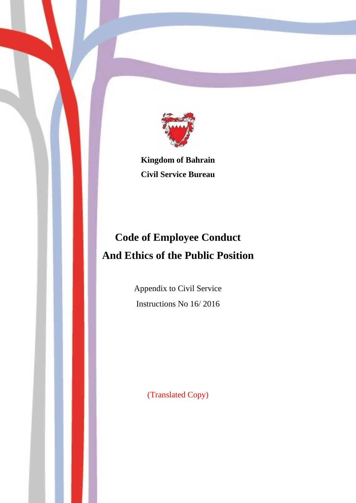

**Kingdom of Bahrain Civil Service Bureau**

# **Code of Employee Conduct And Ethics of the Public Position**

Appendix to Civil Service Instructions No 16/ 2016

(Translated Copy)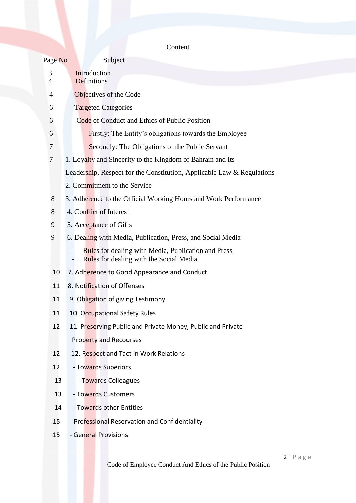| Content |
|---------|
|---------|

| Page No        | Subject                                                                                        |
|----------------|------------------------------------------------------------------------------------------------|
| 3              | Introduction                                                                                   |
| $\overline{4}$ | Definitions                                                                                    |
| 4              | Objectives of the Code                                                                         |
| 6              | <b>Targeted Categories</b>                                                                     |
| 6              | Code of Conduct and Ethics of Public Position                                                  |
| 6              | <b>Firstly:</b> The Entity's obligations towards the Employee                                  |
| 7              | Secondly: The Obligations of the Public Servant                                                |
| $\tau$         | 1. Loyalty and Sincerity to the Kingdom of Bahrain and its                                     |
|                | Leadership, Respect for the Constitution, Applicable Law & Regulations                         |
|                | 2. Commitment to the Service                                                                   |
| 8              | 3. Adherence to the Official Working Hours and Work Performance                                |
| 8              | 4. Conflict of Interest                                                                        |
| 9              | 5. Acceptance of Gifts                                                                         |
| 9              | 6. Dealing with Media, Publication, Press, and Social Media                                    |
|                | Rules for dealing with Media, Publication and Press<br>Rules for dealing with the Social Media |
| 10             | 7. Adherence to Good Appearance and Conduct                                                    |
| 11             | 8. Notification of Offenses                                                                    |
| 11             | 9. Obligation of giving Testimony                                                              |
| 11             | 10. Occupational Safety Rules                                                                  |
| 12             | 11. Preserving Public and Private Money, Public and Private                                    |
|                | Property and Recourses                                                                         |
| 12             | 12. Respect and Tact in Work Relations                                                         |
| 12             | - Towards Superiors                                                                            |
| 13             | -Towards Colleagues                                                                            |
| 13             | - Towards Customers                                                                            |
| 14             | - Towards other Entities                                                                       |
| 15             | - Professional Reservation and Confidentiality                                                 |
| 15             | - General Provisions                                                                           |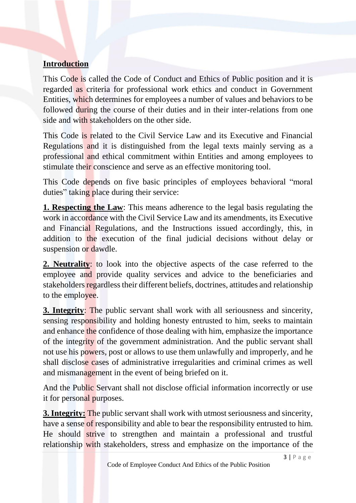## **Introduction**

This Code is called the Code of Conduct and Ethics of Public position and it is regarded as criteria for professional work ethics and conduct in Government Entities, which determines for employees a number of values and behaviors to be followed during the course of their duties and in their inter-relations from one side and with stakeholders on the other side.

This Code is related to the Civil Service Law and its Executive and Financial Regulations and it is distinguished from the legal texts mainly serving as a professional and ethical commitment within Entities and among employees to stimulate their conscience and serve as an effective monitoring tool.

This Code depends on five basic principles of employees behavioral "moral duties" taking place during their service:

**1. Respecting the Law**: This means adherence to the legal basis regulating the work in accordance with the Civil Service Law and its amendments, its Executive and Financial Regulations, and the Instructions issued accordingly, this, in addition to the execution of the final judicial decisions without delay or suspension or dawdle.

**2. Neutrality**: to look into the objective aspects of the case referred to the employee and provide quality services and advice to the beneficiaries and stakeholders regardless their different beliefs, doctrines, attitudes and relationship to the employee.

**3. Integrity**: The public servant shall work with all seriousness and sincerity, sensing responsibility and holding honesty entrusted to him, seeks to maintain and enhance the confidence of those dealing with him, emphasize the importance of the integrity of the government administration. And the public servant shall not use his powers, post or allows to use them unlawfully and improperly, and he shall disclose cases of administrative irregularities and criminal crimes as well and mismanagement in the event of being briefed on it.

And the Public Servant shall not disclose official information incorrectly or use it for personal purposes.

**3. Integrity:** The public servant shall work with utmost seriousness and sincerity, have a sense of responsibility and able to bear the responsibility entrusted to him. He should strive to strengthen and maintain a professional and trustful relationship with stakeholders, stress and emphasize on the importance of the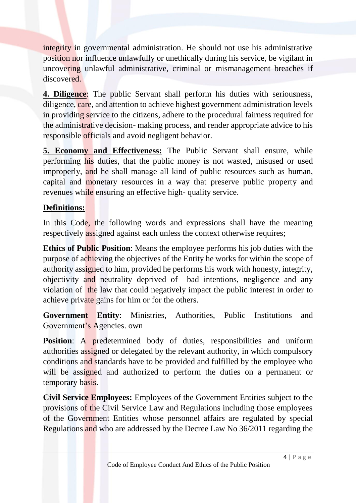integrity in governmental administration. He should not use his administrative position nor influence unlawfully or unethically during his service, be vigilant in uncovering unlawful administrative, criminal or mismanagement breaches if discovered.

**4. Diligence**: The public Servant shall perform his duties with seriousness, diligence, care, and attention to achieve highest government administration levels in providing service to the citizens, adhere to the procedural fairness required for the administrative decision- making process, and render appropriate advice to his responsible officials and avoid negligent behavior.

**5. Economy and Effectiveness:** The Public Servant shall ensure, while performing his duties, that the public money is not wasted, misused or used improperly, and he shall manage all kind of public resources such as human, capital and monetary resources in a way that preserve public property and revenues while ensuring an effective high- quality service.

## **Definitions:**

In this Code, the following words and expressions shall have the meaning respectively assigned against each unless the context otherwise requires;

**Ethics of Public Position**: Means the employee performs his job duties with the purpose of achieving the objectives of the Entity he works for within the scope of authority assigned to him, provided he performs his work with honesty, integrity, objectivity and neutrality deprived of bad intentions, negligence and any violation of the law that could negatively impact the public interest in order to achieve private gains for him or for the others.

**Government Entity**: Ministries, Authorities, Public Institutions and Government's Agencies. own

**Position:** A predetermined body of duties, responsibilities and uniform authorities assigned or delegated by the relevant authority, in which compulsory conditions and standards have to be provided and fulfilled by the employee who will be assigned and authorized to perform the duties on a permanent or temporary basis.

**Civil Service Employees:** Employees of the Government Entities subject to the provisions of the Civil Service Law and Regulations including those employees of the Government Entities whose personnel affairs are regulated by special Regulations and who are addressed by the Decree Law No 36/2011 regarding the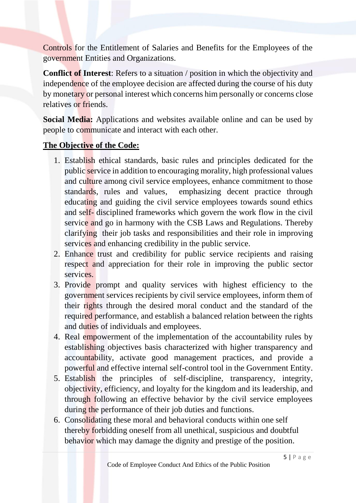Controls for the Entitlement of Salaries and Benefits for the Employees of the government Entities and Organizations.

**Conflict of Interest**: Refers to a situation / position in which the objectivity and independence of the employee decision are affected during the course of his duty by monetary or personal interest which concerns him personally or concerns close relatives or friends.

**Social Media:** Applications and websites available online and can be used by people to communicate and interact with each other.

## **The Objective of the Code:**

- 1. Establish ethical standards, basic rules and principles dedicated for the public service in addition to encouraging morality, high professional values and culture among civil service employees, enhance commitment to those standards, rules and values, emphasizing decent practice through educating and guiding the civil service employees towards sound ethics and self- disciplined frameworks which govern the work flow in the civil service and go in harmony with the CSB Laws and Regulations. Thereby clarifying their job tasks and responsibilities and their role in improving services and enhancing credibility in the public service.
- 2. Enhance trust and credibility for public service recipients and raising respect and appreciation for their role in improving the public sector services.
- 3. Provide prompt and quality services with highest efficiency to the government services recipients by civil service employees, inform them of their rights through the desired moral conduct and the standard of the required performance, and establish a balanced relation between the rights and duties of individuals and employees.
- 4. Real empowerment of the implementation of the accountability rules by establishing objectives basis characterized with higher transparency and accountability, activate good management practices, and provide a powerful and effective internal self-control tool in the Government Entity.
- 5. Establish the principles of self-discipline, transparency, integrity, objectivity, efficiency, and loyalty for the kingdom and its leadership, and through following an effective behavior by the civil service employees during the performance of their job duties and functions.
- 6. Consolidating these moral and behavioral conducts within one self thereby forbidding oneself from all unethical, suspicious and doubtful behavior which may damage the dignity and prestige of the position.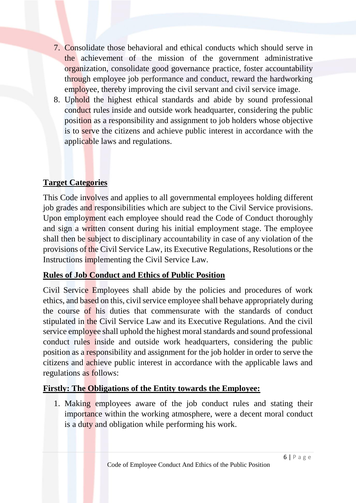- 7. Consolidate those behavioral and ethical conducts which should serve in the achievement of the mission of the government administrative organization, consolidate good governance practice, foster accountability through employee job performance and conduct, reward the hardworking employee, thereby improving the civil servant and civil service image.
- 8. Uphold the highest ethical standards and abide by sound professional conduct rules inside and outside work headquarter, considering the public position as a responsibility and assignment to job holders whose objective is to serve the citizens and achieve public interest in accordance with the applicable laws and regulations.

## **Target Categories**

This Code involves and applies to all governmental employees holding different job grades and responsibilities which are subject to the Civil Service provisions. Upon employment each employee should read the Code of Conduct thoroughly and sign a written consent during his initial employment stage. The employee shall then be subject to disciplinary accountability in case of any violation of the provisions of the Civil Service Law, its Executive Regulations, Resolutions or the Instructions implementing the Civil Service Law.

## **Rules of Job Conduct and Ethics of Public Position**

Civil Service Employees shall abide by the policies and procedures of work ethics, and based on this, civil service employee shall behave appropriately during the course of his duties that commensurate with the standards of conduct stipulated in the Civil Service Law and its Executive Regulations. And the civil service employee shall uphold the highest moral standards and sound professional conduct rules inside and outside work headquarters, considering the public position as a responsibility and assignment for the job holder in order to serve the citizens and achieve public interest in accordance with the applicable laws and regulations as follows:

## **Firstly: The Obligations of the Entity towards the Employee:**

1. Making employees aware of the job conduct rules and stating their importance within the working atmosphere, were a decent moral conduct is a duty and obligation while performing his work.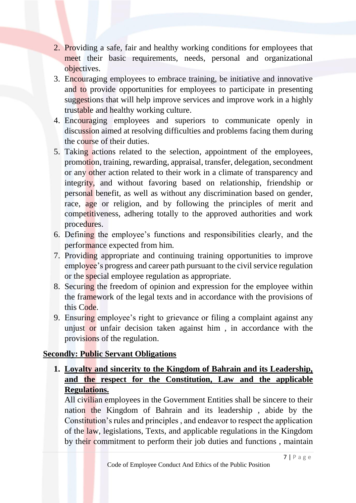- 2. Providing a safe, fair and healthy working conditions for employees that meet their basic requirements, needs, personal and organizational objectives.
- 3. Encouraging employees to embrace training, be initiative and innovative and to provide opportunities for employees to participate in presenting suggestions that will help improve services and improve work in a highly trustable and healthy working culture.
- 4. Encouraging employees and superiors to communicate openly in discussion aimed at resolving difficulties and problems facing them during the course of their duties.
- 5. Taking actions related to the selection, appointment of the employees, promotion, training, rewarding, appraisal, transfer, delegation, secondment or any other action related to their work in a climate of transparency and integrity, and without favoring based on relationship, friendship or personal benefit, as well as without any discrimination based on gender, race, age or religion, and by following the principles of merit and competitiveness, adhering totally to the approved authorities and work procedures.
- 6. Defining the employee's functions and responsibilities clearly, and the performance expected from him.
- 7. Providing appropriate and continuing training opportunities to improve employee's progress and career path pursuant to the civil service regulation or the special employee regulation as appropriate.
- 8. Securing the freedom of opinion and expression for the employee within the framework of the legal texts and in accordance with the provisions of this Code.
- 9. Ensuring employee's right to grievance or filing a complaint against any unjust or unfair decision taken against him, in accordance with the provisions of the regulation.

## **Secondly: Public Servant Obligations**

**1. Loyalty and sincerity to the Kingdom of Bahrain and its Leadership, and the respect for the Constitution, Law and the applicable Regulations.**

All civilian employees in the Government Entities shall be sincere to their nation the Kingdom of Bahrain and its leadership , abide by the Constitution's rules and principles , and endeavor to respect the application of the law, legislations, Texts, and applicable regulations in the Kingdom by their commitment to perform their job duties and functions , maintain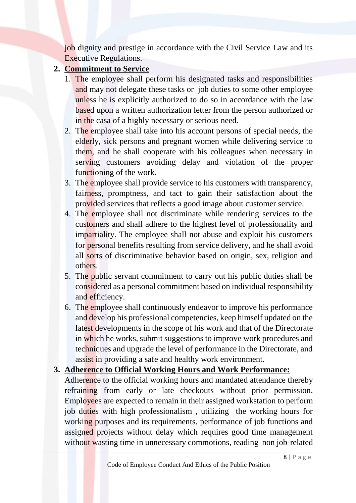job dignity and prestige in accordance with the Civil Service Law and its Executive Regulations.

## **2. Commitment to Service**

- 1. The employee shall perform his designated tasks and responsibilities and may not delegate these tasks or job duties to some other employee unless he is explicitly authorized to do so in accordance with the law based upon a written authorization letter from the person authorized or in the casa of a highly necessary or serious need.
- 2. The employee shall take into his account persons of special needs, the elderly, sick persons and pregnant women while delivering service to them, and he shall cooperate with his colleagues when necessary in serving customers avoiding delay and violation of the proper functioning of the work.
- 3. The employee shall provide service to his customers with transparency, fairness, promptness, and tact to gain their satisfaction about the provided services that reflects a good image about customer service.
- 4. The employee shall not discriminate while rendering services to the customers and shall adhere to the highest level of professionality and impartiality. The employee shall not abuse and exploit his customers for personal benefits resulting from service delivery, and he shall avoid all sorts of discriminative behavior based on origin, sex, religion and others.
- 5. The public servant commitment to carry out his public duties shall be considered as a personal commitment based on individual responsibility and efficiency.
- 6. The employee shall continuously endeavor to improve his performance and develop his professional competencies, keep himself updated on the latest developments in the scope of his work and that of the Directorate in which he works, submit suggestions to improve work procedures and techniques and upgrade the level of performance in the Directorate, and assist in providing a safe and healthy work environment.

## **3. Adherence to Official Working Hours and Work Performance:**

Adherence to the official working hours and mandated attendance thereby refraining from early or late checkouts without prior permission. Employees are expected to remain in their assigned workstation to perform job duties with high professionalism , utilizing the working hours for working purposes and its requirements, performance of job functions and assigned projects without delay which requires good time management without wasting time in unnecessary commotions, reading non job-related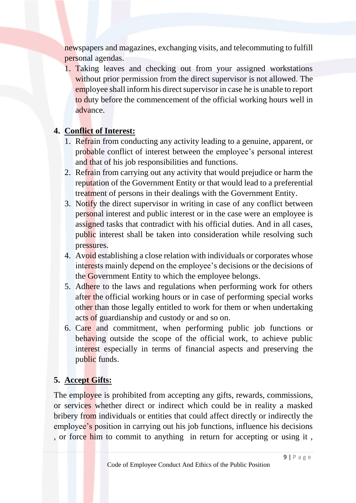newspapers and magazines, exchanging visits, and telecommuting to fulfill personal agendas.

1. Taking leaves and checking out from your assigned workstations without prior permission from the direct supervisor is not allowed. The employee shall inform his direct supervisor in case he is unable to report to duty before the commencement of the official working hours well in advance.

## **4. Conflict of Interest:**

- 1. Refrain from conducting any activity leading to a genuine, apparent, or probable conflict of interest between the employee's personal interest and that of his job responsibilities and functions.
- 2. Refrain from carrying out any activity that would prejudice or harm the reputation of the Government Entity or that would lead to a preferential treatment of persons in their dealings with the Government Entity.
- 3. Notify the direct supervisor in writing in case of any conflict between personal interest and public interest or in the case were an employee is assigned tasks that contradict with his official duties. And in all cases, public interest shall be taken into consideration while resolving such pressures.
- 4. Avoid establishing a close relation with individuals or corporates whose interests mainly depend on the employee's decisions or the decisions of the Government Entity to which the employee belongs.
- 5. Adhere to the laws and regulations when performing work for others after the official working hours or in case of performing special works other than those legally entitled to work for them or when undertaking acts of guardianship and custody or and so on.
- 6. Care and commitment, when performing public job functions or behaving outside the scope of the official work, to achieve public interest especially in terms of financial aspects and preserving the public funds.

# **5. Accept Gifts:**

The employee is prohibited from accepting any gifts, rewards, commissions, or services whether direct or indirect which could be in reality a masked bribery from individuals or entities that could affect directly or indirectly the employee's position in carrying out his job functions, influence his decisions , or force him to commit to anything in return for accepting or using it,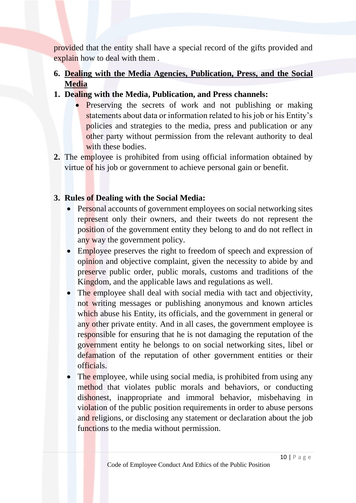provided that the entity shall have a special record of the gifts provided and explain how to deal with them .

# **6. Dealing with the Media Agencies, Publication, Press, and the Social Media**

- **1. Dealing with the Media, Publication, and Press channels:**
	- Preserving the secrets of work and not publishing or making statements about data or information related to his job or his Entity's policies and strategies to the media, press and publication or any other party without permission from the relevant authority to deal with these bodies.
- **2.** The employee is prohibited from using official information obtained by virtue of his job or government to achieve personal gain or benefit.

# **3. Rules of Dealing with the Social Media:**

- Personal accounts of government employees on social networking sites represent only their owners, and their tweets do not represent the position of the government entity they belong to and do not reflect in any way the government policy.
- Employee preserves the right to freedom of speech and expression of opinion and objective complaint, given the necessity to abide by and preserve public order, public morals, customs and traditions of the Kingdom, and the applicable laws and regulations as well.
- The employee shall deal with social media with tact and objectivity, not writing messages or publishing anonymous and known articles which abuse his Entity, its officials, and the government in general or any other private entity. And in all cases, the government employee is responsible for ensuring that he is not damaging the reputation of the government entity he belongs to on social networking sites, libel or defamation of the reputation of other government entities or their officials.
- The employee, while using social media, is prohibited from using any method that violates public morals and behaviors, or conducting dishonest, inappropriate and immoral behavior, misbehaving in violation of the public position requirements in order to abuse persons and religions, or disclosing any statement or declaration about the job functions to the media without permission.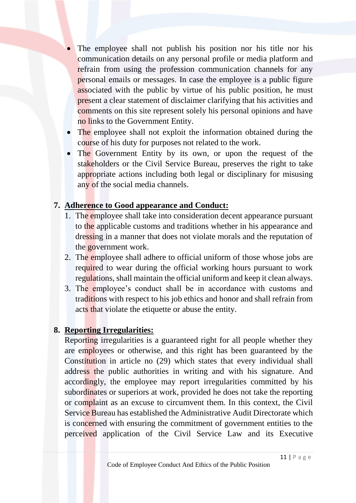- The employee shall not publish his position nor his title nor his communication details on any personal profile or media platform and refrain from using the profession communication channels for any personal emails or messages. In case the employee is a public figure associated with the public by virtue of his public position, he must present a clear statement of disclaimer clarifying that his activities and comments on this site represent solely his personal opinions and have no links to the Government Entity.
- The employee shall not exploit the information obtained during the course of his duty for purposes not related to the work.
- The Government Entity by its own, or upon the request of the stakeholders or the Civil Service Bureau, preserves the right to take appropriate actions including both legal or disciplinary for misusing any of the social media channels.

## **7. Adherence to Good appearance and Conduct:**

- 1. The employee shall take into consideration decent appearance pursuant to the applicable customs and traditions whether in his appearance and dressing in a manner that does not violate morals and the reputation of the government work.
- 2. The employee shall adhere to official uniform of those whose jobs are required to wear during the official working hours pursuant to work regulations, shall maintain the official uniform and keep it clean always.
- 3. The employee's conduct shall be in accordance with customs and traditions with respect to his job ethics and honor and shall refrain from acts that violate the etiquette or abuse the entity.

#### **8. Reporting Irregularities:**

Reporting irregularities is a guaranteed right for all people whether they are employees or otherwise, and this right has been guaranteed by the Constitution in article no (29) which states that every individual shall address the public authorities in writing and with his signature. And accordingly, the employee may report irregularities committed by his subordinates or superiors at work, provided he does not take the reporting or complaint as an excuse to circumvent them. In this context, the Civil Service Bureau has established the Administrative Audit Directorate which is concerned with ensuring the commitment of government entities to the perceived application of the Civil Service Law and its Executive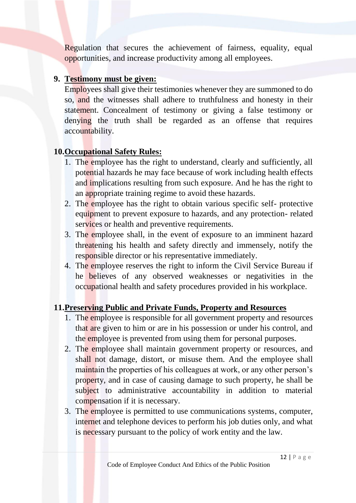Regulation that secures the achievement of fairness, equality, equal opportunities, and increase productivity among all employees.

#### **9. Testimony must be given:**

Employees shall give their testimonies whenever they are summoned to do so, and the witnesses shall adhere to truthfulness and honesty in their statement. Concealment of testimony or giving a false testimony or denying the truth shall be regarded as an offense that requires accountability.

## **10.Occupational Safety Rules:**

- 1. The employee has the right to understand, clearly and sufficiently, all potential hazards he may face because of work including health effects and implications resulting from such exposure. And he has the right to an appropriate training regime to avoid these hazards.
- 2. The employee has the right to obtain various specific self- protective equipment to prevent exposure to hazards, and any protection- related services or health and preventive requirements.
- 3. The employee shall, in the event of exposure to an imminent hazard threatening his health and safety directly and immensely, notify the responsible director or his representative immediately.
- 4. The employee reserves the right to inform the Civil Service Bureau if he believes of any observed weaknesses or negativities in the occupational health and safety procedures provided in his workplace.

## **11.Preserving Public and Private Funds, Property and Resources**

- 1. The employee is responsible for all government property and resources that are given to him or are in his possession or under his control, and the employee is prevented from using them for personal purposes.
- 2. The employee shall maintain government property or resources, and shall not damage, distort, or misuse them. And the employee shall maintain the properties of his colleagues at work, or any other person's property, and in case of causing damage to such property, he shall be subject to administrative accountability in addition to material compensation if it is necessary.
- 3. The employee is permitted to use communications systems, computer, internet and telephone devices to perform his job duties only, and what is necessary pursuant to the policy of work entity and the law.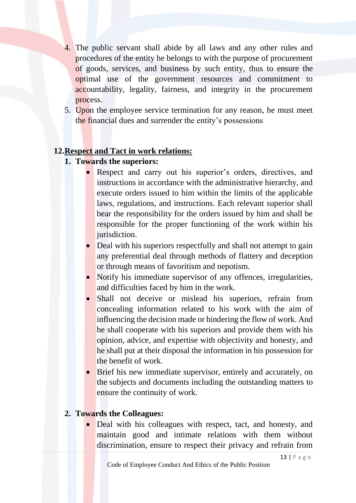- 4. The public servant shall abide by all laws and any other rules and procedures of the entity he belongs to with the purpose of procurement of goods, services, and business by such entity, thus to ensure the optimal use of the government resources and commitment to accountability, legality, fairness, and integrity in the procurement process.
- 5. Upon the employee service termination for any reason, he must meet the financial dues and surrender the entity's possessions

## **12.Respect and Tact in work relations:**

- **1. Towards the superiors:**
	- Respect and carry out his superior's orders, directives, and instructions in accordance with the administrative hierarchy, and execute orders issued to him within the limits of the applicable laws, regulations, and instructions. Each relevant superior shall bear the responsibility for the orders issued by him and shall be responsible for the proper functioning of the work within his jurisdiction.
	- Deal with his superiors respectfully and shall not attempt to gain any preferential deal through methods of flattery and deception or through means of favoritism and nepotism.
	- Notify his immediate supervisor of any offences, irregularities, and difficulties faced by him in the work.
	- Shall not deceive or mislead his superiors, refrain from concealing information related to his work with the aim of influencing the decision made or hindering the flow of work. And he shall cooperate with his superiors and provide them with his opinion, advice, and expertise with objectivity and honesty, and he shall put at their disposal the information in his possession for the benefit of work.
	- Brief his new immediate supervisor, entirely and accurately, on the subjects and documents including the outstanding matters to ensure the continuity of work.

## **2. Towards the Colleagues:**

• Deal with his colleagues with respect, tact, and honesty, and maintain good and intimate relations with them without discrimination, ensure to respect their privacy and refrain from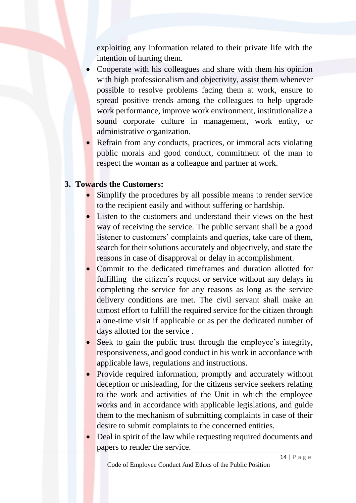exploiting any information related to their private life with the intention of hurting them.

- Cooperate with his colleagues and share with them his opinion with high professionalism and objectivity, assist them whenever possible to resolve problems facing them at work, ensure to spread positive trends among the colleagues to help upgrade work performance, improve work environment, institutionalize a sound corporate culture in management, work entity, or administrative organization.
- Refrain from any conducts, practices, or immoral acts violating public morals and good conduct, commitment of the man to respect the woman as a colleague and partner at work.

#### **3. Towards the Customers:**

- Simplify the procedures by all possible means to render service to the recipient easily and without suffering or hardship.
- Listen to the customers and understand their views on the best way of receiving the service. The public servant shall be a good listener to customers' complaints and queries, take care of them, search for their solutions accurately and objectively, and state the reasons in case of disapproval or delay in accomplishment.
- Commit to the dedicated timeframes and duration allotted for fulfilling the citizen's request or service without any delays in completing the service for any reasons as long as the service delivery conditions are met. The civil servant shall make an utmost effort to fulfill the required service for the citizen through a one-time visit if applicable or as per the dedicated number of days allotted for the service .
- Seek to gain the public trust through the employee's integrity, responsiveness, and good conduct in his work in accordance with applicable laws, regulations and instructions.
- Provide required information, promptly and accurately without deception or misleading, for the citizens service seekers relating to the work and activities of the Unit in which the employee works and in accordance with applicable legislations, and guide them to the mechanism of submitting complaints in case of their desire to submit complaints to the concerned entities.
- Deal in spirit of the law while requesting required documents and papers to render the service.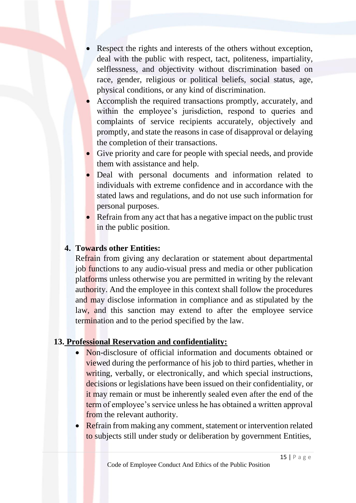- Respect the rights and interests of the others without exception, deal with the public with respect, tact, politeness, impartiality, selflessness, and objectivity without discrimination based on race, gender, religious or political beliefs, social status, age, physical conditions, or any kind of discrimination.
- Accomplish the required transactions promptly, accurately, and within the employee's jurisdiction, respond to queries and complaints of service recipients accurately, objectively and promptly, and state the reasons in case of disapproval or delaying the completion of their transactions.
- Give priority and care for people with special needs, and provide them with assistance and help.
- Deal with personal documents and information related to individuals with extreme confidence and in accordance with the stated laws and regulations, and do not use such information for personal purposes.
- Refrain from any act that has a negative impact on the public trust in the public position.

## **4. Towards other Entities:**

Refrain from giving any declaration or statement about departmental job functions to any audio-visual press and media or other publication platforms unless otherwise you are permitted in writing by the relevant authority. And the employee in this context shall follow the procedures and may disclose information in compliance and as stipulated by the law, and this sanction may extend to after the employee service termination and to the period specified by the law.

## **13. Professional Reservation and confidentiality:**

- Non-disclosure of official information and documents obtained or viewed during the performance of his job to third parties, whether in writing, verbally, or electronically, and which special instructions, decisions or legislations have been issued on their confidentiality, or it may remain or must be inherently sealed even after the end of the term of employee's service unless he has obtained a written approval from the relevant authority.
- Refrain from making any comment, statement or intervention related to subjects still under study or deliberation by government Entities,